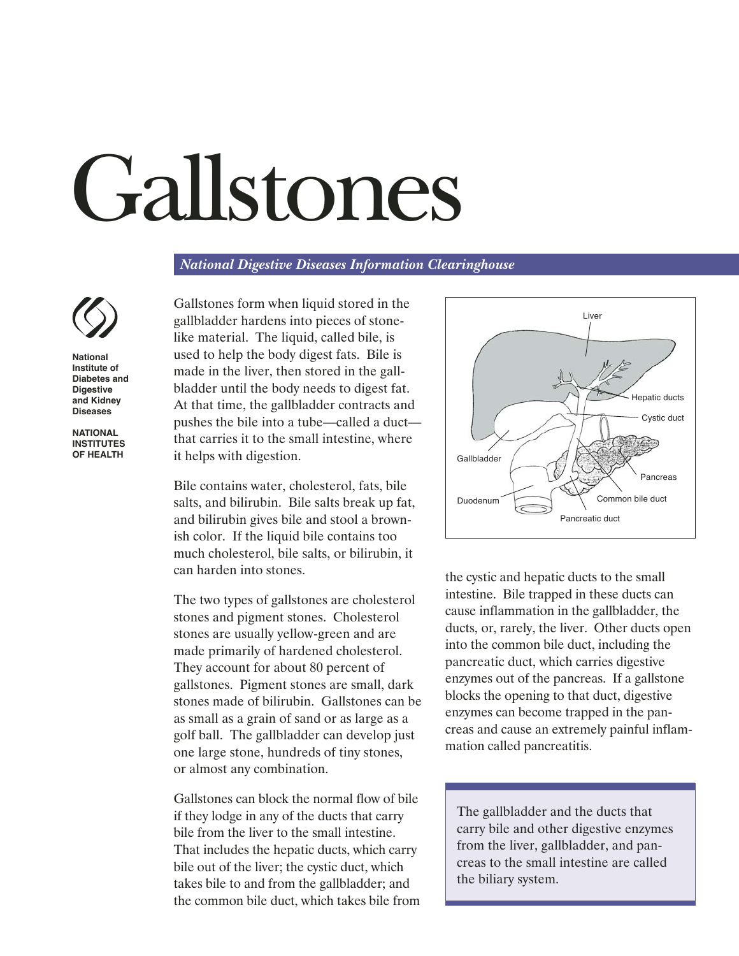# Gallstones

*National Digestive Diseases Information Clearinghouse*



**National Institute of Diabetes and Digestive and Kidney Diseases**

**NATIONAL INSTITUTES OF HEALTH**

Gallstones form when liquid stored in the gallbladder hardens into pieces of stonelike material. The liquid, called bile, is used to help the body digest fats. Bile is made in the liver, then stored in the gallbladder until the body needs to digest fat. At that time, the gallbladder contracts and pushes the bile into a tube—called a duct that carries it to the small intestine, where it helps with digestion.

Bile contains water, cholesterol, fats, bile salts, and bilirubin. Bile salts break up fat, and bilirubin gives bile and stool a brownish color. If the liquid bile contains too much cholesterol, bile salts, or bilirubin, it can harden into stones.

The two types of gallstones are cholesterol stones and pigment stones. Cholesterol stones are usually yellow-green and are made primarily of hardened cholesterol. They account for about 80 percent of gallstones. Pigment stones are small, dark stones made of bilirubin. Gallstones can be as small as a grain of sand or as large as a golf ball. The gallbladder can develop just one large stone, hundreds of tiny stones, or almost any combination.

Gallstones can block the normal flow of bile if they lodge in any of the ducts that carry bile from the liver to the small intestine. That includes the hepatic ducts, which carry bile out of the liver; the cystic duct, which takes bile to and from the gallbladder; and the common bile duct, which takes bile from



the cystic and hepatic ducts to the small intestine. Bile trapped in these ducts can cause inflammation in the gallbladder, the ducts, or, rarely, the liver. Other ducts open into the common bile duct, including the pancreatic duct, which carries digestive enzymes out of the pancreas. If a gallstone blocks the opening to that duct, digestive enzymes can become trapped in the pancreas and cause an extremely painful inflammation called pancreatitis.

The gallbladder and the ducts that carry bile and other digestive enzymes from the liver, gallbladder, and pancreas to the small intestine are called the biliary system.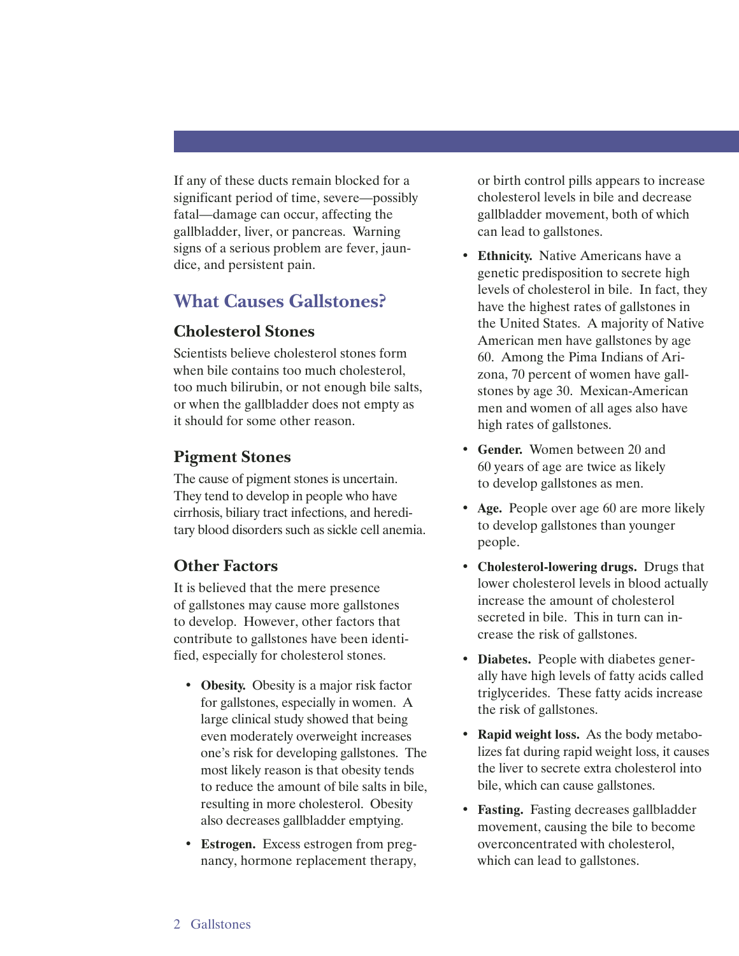If any of these ducts remain blocked for a significant period of time, severe—possibly fatal—damage can occur, affecting the gallbladder, liver, or pancreas. Warning signs of a serious problem are fever, jaundice, and persistent pain.

#### **What Causes Gallstones?**

#### **Cholesterol Stones**

Scientists believe cholesterol stones form when bile contains too much cholesterol, too much bilirubin, or not enough bile salts, or when the gallbladder does not empty as it should for some other reason.

#### **Pigment Stones**

The cause of pigment stones is uncertain. They tend to develop in people who have cirrhosis, biliary tract infections, and hereditary blood disorders such as sickle cell anemia.

#### **Other Factors**

It is believed that the mere presence of gallstones may cause more gallstones to develop. However, other factors that contribute to gallstones have been identified, especially for cholesterol stones.

- **Obesity.** Obesity is a major risk factor for gallstones, especially in women. A large clinical study showed that being even moderately overweight increases one's risk for developing gallstones. The most likely reason is that obesity tends to reduce the amount of bile salts in bile, resulting in more cholesterol. Obesity also decreases gallbladder emptying.
- **Estrogen.** Excess estrogen from pregnancy, hormone replacement therapy,

or birth control pills appears to increase cholesterol levels in bile and decrease gallbladder movement, both of which can lead to gallstones.

- **Ethnicity.** Native Americans have a genetic predisposition to secrete high levels of cholesterol in bile. In fact, they have the highest rates of gallstones in the United States. A majority of Native American men have gallstones by age 60. Among the Pima Indians of Arizona, 70 percent of women have gallstones by age 30. Mexican-American men and women of all ages also have high rates of gallstones.
- **Gender.** Women between 20 and 60 years of age are twice as likely to develop gallstones as men.
- **Age.** People over age 60 are more likely to develop gallstones than younger people.
- **Cholesterol-lowering drugs.** Drugs that lower cholesterol levels in blood actually increase the amount of cholesterol secreted in bile. This in turn can increase the risk of gallstones.
- **Diabetes.** People with diabetes generally have high levels of fatty acids called triglycerides. These fatty acids increase the risk of gallstones.
- **Rapid weight loss.** As the body metabolizes fat during rapid weight loss, it causes the liver to secrete extra cholesterol into bile, which can cause gallstones.
- **Fasting.** Fasting decreases gallbladder movement, causing the bile to become overconcentrated with cholesterol, which can lead to gallstones.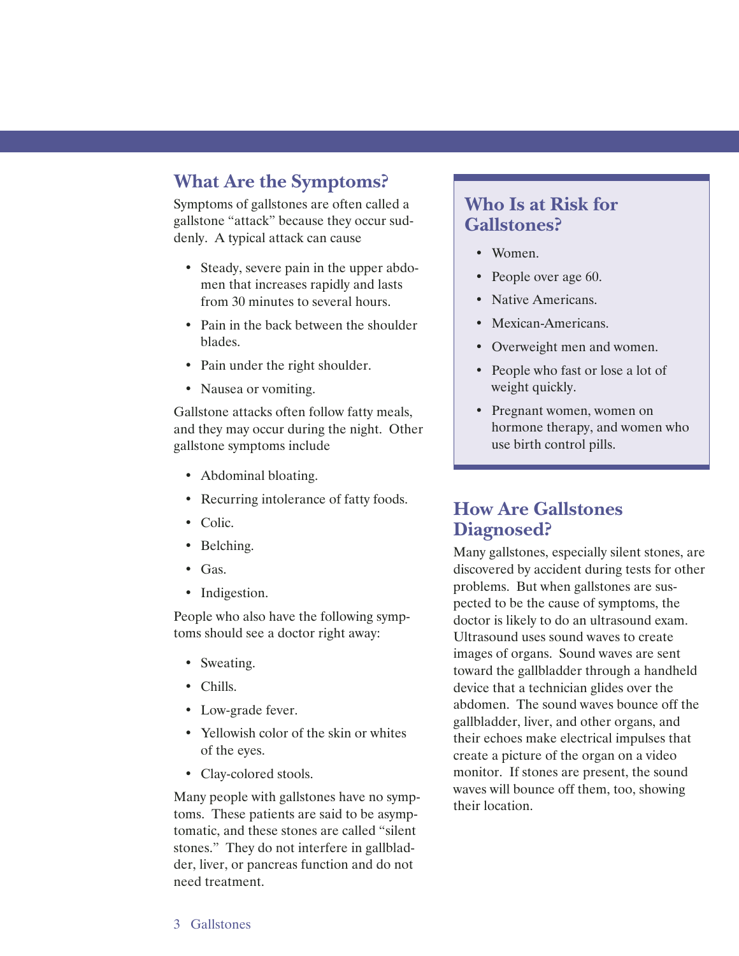# **What Are the Symptoms?**

Symptoms of gallstones are often called a gallstone "attack" because they occur suddenly. A typical attack can cause

- Steady, severe pain in the upper abdomen that increases rapidly and lasts from 30 minutes to several hours.
- Pain in the back between the shoulder blades.
- Pain under the right shoulder.
- Nausea or vomiting.

Gallstone attacks often follow fatty meals, and they may occur during the night. Other gallstone symptoms include

- Abdominal bloating.
- Recurring intolerance of fatty foods.
- Colic.
- Belching.
- Gas.
- Indigestion.

People who also have the following symptoms should see a doctor right away:

- Sweating.
- Chills.
- Low-grade fever.
- Yellowish color of the skin or whites of the eyes.
- Clay-colored stools.

Many people with gallstones have no symptoms. These patients are said to be asymptomatic, and these stones are called "silent stones." They do not interfere in gallbladder, liver, or pancreas function and do not need treatment.

# **Who Is at Risk for Gallstones?**

- Women.
- People over age 60.
- Native Americans.
- Mexican-Americans.
- Overweight men and women.
- People who fast or lose a lot of weight quickly.
- Pregnant women, women on hormone therapy, and women who use birth control pills.

## **How Are Gallstones Diagnosed?**

Many gallstones, especially silent stones, are discovered by accident during tests for other problems. But when gallstones are suspected to be the cause of symptoms, the doctor is likely to do an ultrasound exam. Ultrasound uses sound waves to create images of organs. Sound waves are sent toward the gallbladder through a handheld device that a technician glides over the abdomen. The sound waves bounce off the gallbladder, liver, and other organs, and their echoes make electrical impulses that create a picture of the organ on a video monitor. If stones are present, the sound waves will bounce off them, too, showing their location.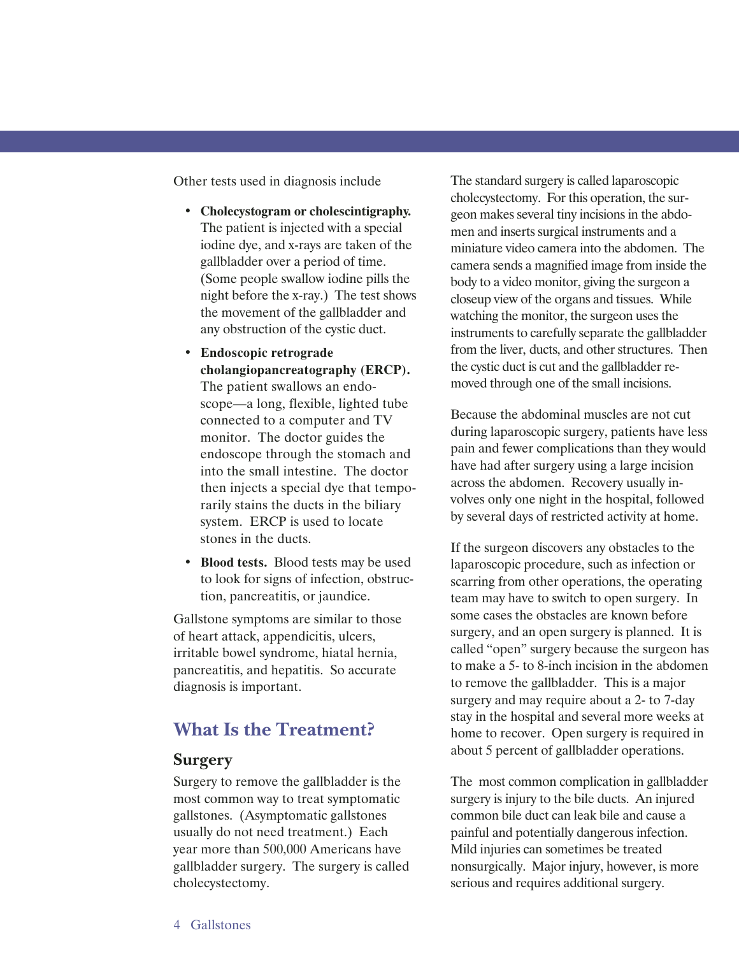Other tests used in diagnosis include

- **Cholecystogram or cholescintigraphy.** The patient is injected with a special iodine dye, and x-rays are taken of the gallbladder over a period of time. (Some people swallow iodine pills the night before the x-ray.) The test shows the movement of the gallbladder and any obstruction of the cystic duct.
- **Endoscopic retrograde cholangiopancreatography (ERCP).** The patient swallows an endoscope—a long, flexible, lighted tube connected to a computer and TV monitor. The doctor guides the endoscope through the stomach and into the small intestine. The doctor then injects a special dye that temporarily stains the ducts in the biliary system. ERCP is used to locate stones in the ducts.
- **Blood tests.** Blood tests may be used to look for signs of infection, obstruction, pancreatitis, or jaundice.

Gallstone symptoms are similar to those of heart attack, appendicitis, ulcers, irritable bowel syndrome, hiatal hernia, pancreatitis, and hepatitis. So accurate diagnosis is important.

## **What Is the Treatment?**

#### **Surgery**

Surgery to remove the gallbladder is the most common way to treat symptomatic gallstones. (Asymptomatic gallstones usually do not need treatment.) Each year more than 500,000 Americans have gallbladder surgery. The surgery is called cholecystectomy.

The standard surgery is called laparoscopic cholecystectomy. For this operation, the surgeon makes several tiny incisions in the abdomen and inserts surgical instruments and a miniature video camera into the abdomen. The camera sends a magnified image from inside the body to a video monitor, giving the surgeon a closeup view of the organs and tissues. While watching the monitor, the surgeon uses the instruments to carefully separate the gallbladder from the liver, ducts, and other structures. Then the cystic duct is cut and the gallbladder removed through one of the small incisions.

Because the abdominal muscles are not cut during laparoscopic surgery, patients have less pain and fewer complications than they would have had after surgery using a large incision across the abdomen. Recovery usually involves only one night in the hospital, followed by several days of restricted activity at home.

If the surgeon discovers any obstacles to the laparoscopic procedure, such as infection or scarring from other operations, the operating team may have to switch to open surgery. In some cases the obstacles are known before surgery, and an open surgery is planned. It is called "open" surgery because the surgeon has to make a 5- to 8-inch incision in the abdomen to remove the gallbladder. This is a major surgery and may require about a 2- to 7-day stay in the hospital and several more weeks at home to recover. Open surgery is required in about 5 percent of gallbladder operations.

The most common complication in gallbladder surgery is injury to the bile ducts. An injured common bile duct can leak bile and cause a painful and potentially dangerous infection. Mild injuries can sometimes be treated nonsurgically. Major injury, however, is more serious and requires additional surgery.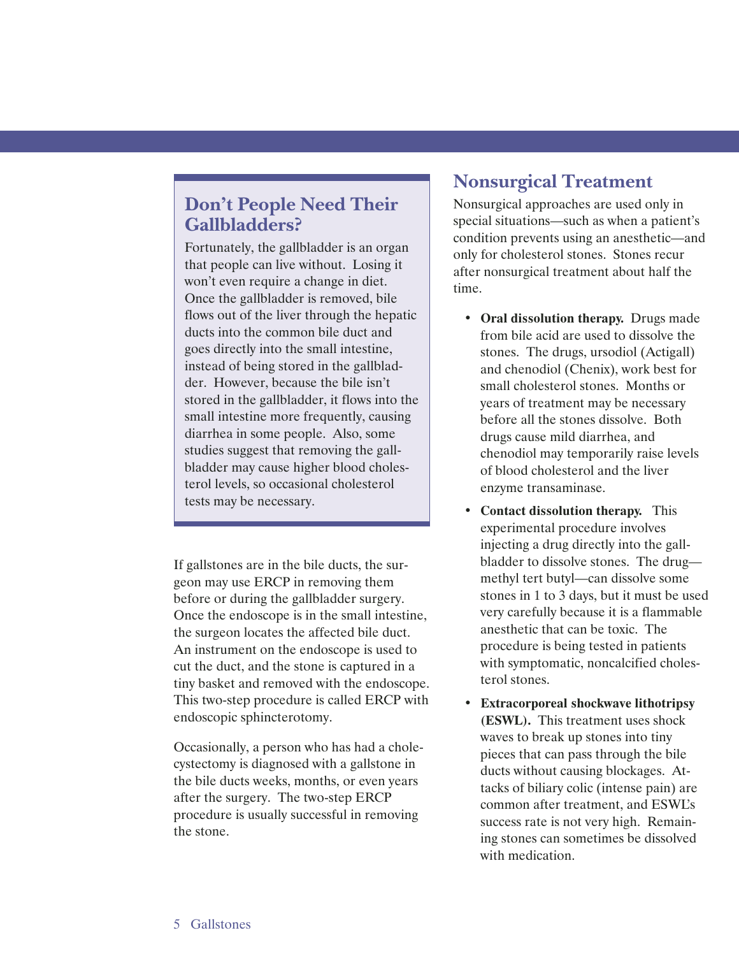## **Don't People Need Their Gallbladders?**

Fortunately, the gallbladder is an organ that people can live without. Losing it won't even require a change in diet. Once the gallbladder is removed, bile flows out of the liver through the hepatic ducts into the common bile duct and goes directly into the small intestine, instead of being stored in the gallbladder. However, because the bile isn't stored in the gallbladder, it flows into the small intestine more frequently, causing diarrhea in some people. Also, some studies suggest that removing the gallbladder may cause higher blood cholesterol levels, so occasional cholesterol tests may be necessary.

If gallstones are in the bile ducts, the surgeon may use ERCP in removing them before or during the gallbladder surgery. Once the endoscope is in the small intestine, the surgeon locates the affected bile duct. An instrument on the endoscope is used to cut the duct, and the stone is captured in a tiny basket and removed with the endoscope. This two-step procedure is called ERCP with endoscopic sphincterotomy.

Occasionally, a person who has had a cholecystectomy is diagnosed with a gallstone in the bile ducts weeks, months, or even years after the surgery. The two-step ERCP procedure is usually successful in removing the stone.

## **Nonsurgical Treatment**

Nonsurgical approaches are used only in special situations—such as when a patient's condition prevents using an anesthetic—and only for cholesterol stones. Stones recur after nonsurgical treatment about half the time.

- **Oral dissolution therapy.** Drugs made from bile acid are used to dissolve the stones. The drugs, ursodiol (Actigall) and chenodiol (Chenix), work best for small cholesterol stones. Months or years of treatment may be necessary before all the stones dissolve. Both drugs cause mild diarrhea, and chenodiol may temporarily raise levels of blood cholesterol and the liver enzyme transaminase.
- **Contact dissolution therapy.** This experimental procedure involves injecting a drug directly into the gallbladder to dissolve stones. The drug methyl tert butyl—can dissolve some stones in 1 to 3 days, but it must be used very carefully because it is a flammable anesthetic that can be toxic. The procedure is being tested in patients with symptomatic, noncalcified cholesterol stones.
- **Extracorporeal shockwave lithotripsy (ESWL).** This treatment uses shock waves to break up stones into tiny pieces that can pass through the bile ducts without causing blockages. Attacks of biliary colic (intense pain) are common after treatment, and ESWL's success rate is not very high. Remaining stones can sometimes be dissolved with medication.